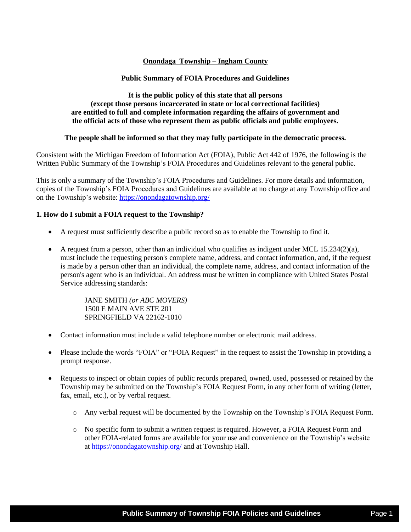# **Onondaga Township – Ingham County**

# **Public Summary of FOIA Procedures and Guidelines**

# **It is the public policy of this state that all persons (except those persons incarcerated in state or local correctional facilities) are entitled to full and complete information regarding the affairs of government and the official acts of those who represent them as public officials and public employees.**

## **The people shall be informed so that they may fully participate in the democratic process.**

Consistent with the Michigan Freedom of Information Act (FOIA), Public Act 442 of 1976, the following is the Written Public Summary of the Township's FOIA Procedures and Guidelines relevant to the general public.

This is only a summary of the Township's FOIA Procedures and Guidelines. For more details and information, copies of the Township's FOIA Procedures and Guidelines are available at no charge at any Township office and on the Township's website: <https://onondagatownship.org/>

## **1. How do I submit a FOIA request to the Township?**

- A request must sufficiently describe a public record so as to enable the Township to find it.
- A request from a person, other than an individual who qualifies as indigent under MCL  $15.234(2)(a)$ , must include the requesting person's complete name, address, and contact information, and, if the request is made by a person other than an individual, the complete name, address, and contact information of the person's agent who is an individual. An address must be written in compliance with United States Postal Service addressing standards:

JANE SMITH *(or ABC MOVERS)* 1500 E MAIN AVE STE 201 SPRINGFIELD VA 22162-1010

- Contact information must include a valid telephone number or electronic mail address.
- Please include the words "FOIA" or "FOIA Request" in the request to assist the Township in providing a prompt response.
- Requests to inspect or obtain copies of public records prepared, owned, used, possessed or retained by the Township may be submitted on the Township's FOIA Request Form, in any other form of writing (letter, fax, email, etc.), or by verbal request.
	- o Any verbal request will be documented by the Township on the Township's FOIA Request Form.
	- o No specific form to submit a written request is required. However, a FOIA Request Form and other FOIA-related forms are available for your use and convenience on the Township's website at <https://onondagatownship.org/> and at Township Hall.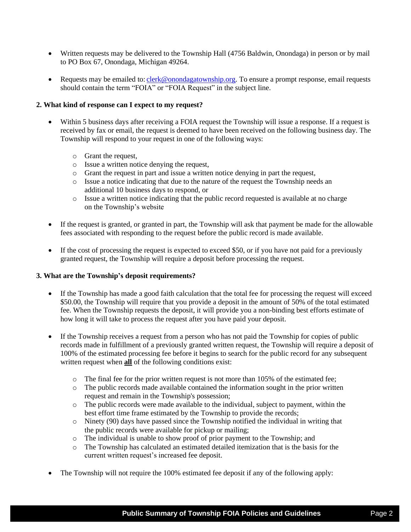- Written requests may be delivered to the Township Hall (4756 Baldwin, Onondaga) in person or by mail to PO Box 67, Onondaga, Michigan 49264.
- Requests may be emailed to: [clerk@onondagatownship.org.](mailto:clerk@onondagatownship.org) To ensure a prompt response, email requests should contain the term "FOIA" or "FOIA Request" in the subject line.

## **2. What kind of response can I expect to my request?**

- Within 5 business days after receiving a FOIA request the Township will issue a response. If a request is received by fax or email, the request is deemed to have been received on the following business day. The Township will respond to your request in one of the following ways:
	- o Grant the request,
	- o Issue a written notice denying the request,
	- o Grant the request in part and issue a written notice denying in part the request,
	- o Issue a notice indicating that due to the nature of the request the Township needs an additional 10 business days to respond, or
	- o Issue a written notice indicating that the public record requested is available at no charge on the Township's website
- If the request is granted, or granted in part, the Township will ask that payment be made for the allowable fees associated with responding to the request before the public record is made available.
- If the cost of processing the request is expected to exceed \$50, or if you have not paid for a previously granted request, the Township will require a deposit before processing the request.

### **3. What are the Township's deposit requirements?**

- If the Township has made a good faith calculation that the total fee for processing the request will exceed \$50.00, the Township will require that you provide a deposit in the amount of 50% of the total estimated fee. When the Township requests the deposit, it will provide you a non-binding best efforts estimate of how long it will take to process the request after you have paid your deposit.
- If the Township receives a request from a person who has not paid the Township for copies of public records made in fulfillment of a previously granted written request, the Township will require a deposit of 100% of the estimated processing fee before it begins to search for the public record for any subsequent written request when **all** of the following conditions exist:
	- o The final fee for the prior written request is not more than 105% of the estimated fee;
	- o The public records made available contained the information sought in the prior written request and remain in the Township's possession;
	- o The public records were made available to the individual, subject to payment, within the best effort time frame estimated by the Township to provide the records;
	- o Ninety (90) days have passed since the Township notified the individual in writing that the public records were available for pickup or mailing;
	- o The individual is unable to show proof of prior payment to the Township; and
	- o The Township has calculated an estimated detailed itemization that is the basis for the current written request's increased fee deposit.
- The Township will not require the 100% estimated fee deposit if any of the following apply: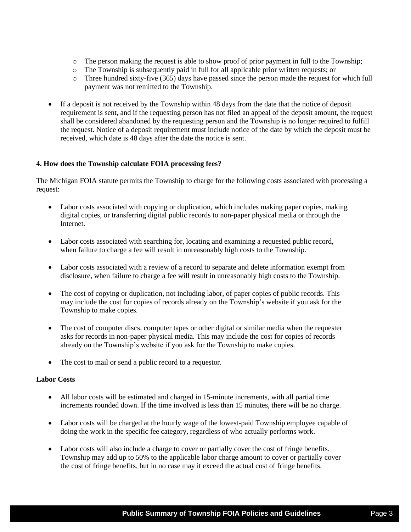- o The person making the request is able to show proof of prior payment in full to the Township;
- o The Township is subsequently paid in full for all applicable prior written requests; or
- o Three hundred sixty-five (365) days have passed since the person made the request for which full payment was not remitted to the Township.
- If a deposit is not received by the Township within 48 days from the date that the notice of deposit requirement is sent, and if the requesting person has not filed an appeal of the deposit amount, the request shall be considered abandoned by the requesting person and the Township is no longer required to fulfill the request. Notice of a deposit requirement must include notice of the date by which the deposit must be received, which date is 48 days after the date the notice is sent.

## **4. How does the Township calculate FOIA processing fees?**

The Michigan FOIA statute permits the Township to charge for the following costs associated with processing a request:

- Labor costs associated with copying or duplication, which includes making paper copies, making digital copies, or transferring digital public records to non-paper physical media or through the Internet.
- Labor costs associated with searching for, locating and examining a requested public record, when failure to charge a fee will result in unreasonably high costs to the Township.
- Labor costs associated with a review of a record to separate and delete information exempt from disclosure, when failure to charge a fee will result in unreasonably high costs to the Township.
- The cost of copying or duplication, not including labor, of paper copies of public records. This may include the cost for copies of records already on the Township's website if you ask for the Township to make copies.
- The cost of computer discs, computer tapes or other digital or similar media when the requester asks for records in non-paper physical media. This may include the cost for copies of records already on the Township's website if you ask for the Township to make copies.
- The cost to mail or send a public record to a requestor.

### **Labor Costs**

- All labor costs will be estimated and charged in 15-minute increments, with all partial time increments rounded down. If the time involved is less than 15 minutes, there will be no charge.
- Labor costs will be charged at the hourly wage of the lowest-paid Township employee capable of doing the work in the specific fee category, regardless of who actually performs work.
- Labor costs will also include a charge to cover or partially cover the cost of fringe benefits. Township may add up to 50% to the applicable labor charge amount to cover or partially cover the cost of fringe benefits, but in no case may it exceed the actual cost of fringe benefits.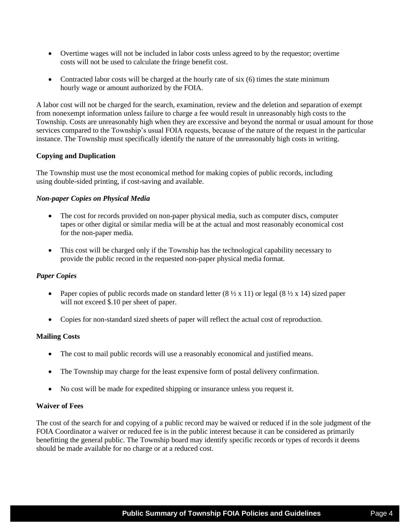- Overtime wages will not be included in labor costs unless agreed to by the requestor; overtime costs will not be used to calculate the fringe benefit cost.
- Contracted labor costs will be charged at the hourly rate of six  $(6)$  times the state minimum hourly wage or amount authorized by the FOIA.

A labor cost will not be charged for the search, examination, review and the deletion and separation of exempt from nonexempt information unless failure to charge a fee would result in unreasonably high costs to the Township. Costs are unreasonably high when they are excessive and beyond the normal or usual amount for those services compared to the Township's usual FOIA requests, because of the nature of the request in the particular instance. The Township must specifically identify the nature of the unreasonably high costs in writing.

# **Copying and Duplication**

The Township must use the most economical method for making copies of public records, including using double-sided printing, if cost-saving and available.

### *Non-paper Copies on Physical Media*

- The cost for records provided on non-paper physical media, such as computer discs, computer tapes or other digital or similar media will be at the actual and most reasonably economical cost for the non-paper media.
- This cost will be charged only if the Township has the technological capability necessary to provide the public record in the requested non-paper physical media format.

# *Paper Copies*

- Paper copies of public records made on standard letter  $(8 \frac{1}{2} \times 11)$  or legal  $(8 \frac{1}{2} \times 14)$  sized paper will not exceed \$.10 per sheet of paper.
- Copies for non-standard sized sheets of paper will reflect the actual cost of reproduction.

### **Mailing Costs**

- The cost to mail public records will use a reasonably economical and justified means.
- The Township may charge for the least expensive form of postal delivery confirmation.
- No cost will be made for expedited shipping or insurance unless you request it.

### **Waiver of Fees**

The cost of the search for and copying of a public record may be waived or reduced if in the sole judgment of the FOIA Coordinator a waiver or reduced fee is in the public interest because it can be considered as primarily benefitting the general public. The Township board may identify specific records or types of records it deems should be made available for no charge or at a reduced cost.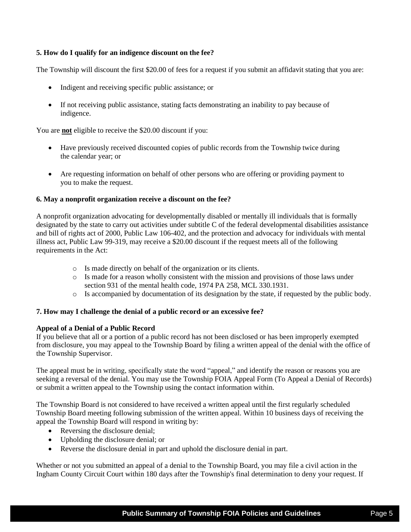# **5. How do I qualify for an indigence discount on the fee?**

The Township will discount the first \$20.00 of fees for a request if you submit an affidavit stating that you are:

- Indigent and receiving specific public assistance; or
- If not receiving public assistance, stating facts demonstrating an inability to pay because of indigence.

You are **not** eligible to receive the \$20.00 discount if you:

- Have previously received discounted copies of public records from the Township twice during the calendar year; or
- Are requesting information on behalf of other persons who are offering or providing payment to you to make the request.

### **6. May a nonprofit organization receive a discount on the fee?**

A nonprofit organization advocating for developmentally disabled or mentally ill individuals that is formally designated by the state to carry out activities under subtitle C of the federal developmental disabilities assistance and bill of rights act of 2000, Public Law 106-402, and the protection and advocacy for individuals with mental illness act, Public Law 99-319, may receive a \$20.00 discount if the request meets all of the following requirements in the Act:

- o Is made directly on behalf of the organization or its clients.
- o Is made for a reason wholly consistent with the mission and provisions of those laws under section 931 of the mental health code, 1974 PA 258, MCL 330.1931.
- o Is accompanied by documentation of its designation by the state, if requested by the public body.

### **7. How may I challenge the denial of a public record or an excessive fee?**

### **Appeal of a Denial of a Public Record**

If you believe that all or a portion of a public record has not been disclosed or has been improperly exempted from disclosure, you may appeal to the Township Board by filing a written appeal of the denial with the office of the Township Supervisor.

The appeal must be in writing, specifically state the word "appeal," and identify the reason or reasons you are seeking a reversal of the denial. You may use the Township FOIA Appeal Form (To Appeal a Denial of Records) or submit a written appeal to the Township using the contact information within.

The Township Board is not considered to have received a written appeal until the first regularly scheduled Township Board meeting following submission of the written appeal. Within 10 business days of receiving the appeal the Township Board will respond in writing by:

- Reversing the disclosure denial;
- Upholding the disclosure denial; or
- Reverse the disclosure denial in part and uphold the disclosure denial in part.

Whether or not you submitted an appeal of a denial to the Township Board, you may file a civil action in the Ingham County Circuit Court within 180 days after the Township's final determination to deny your request. If